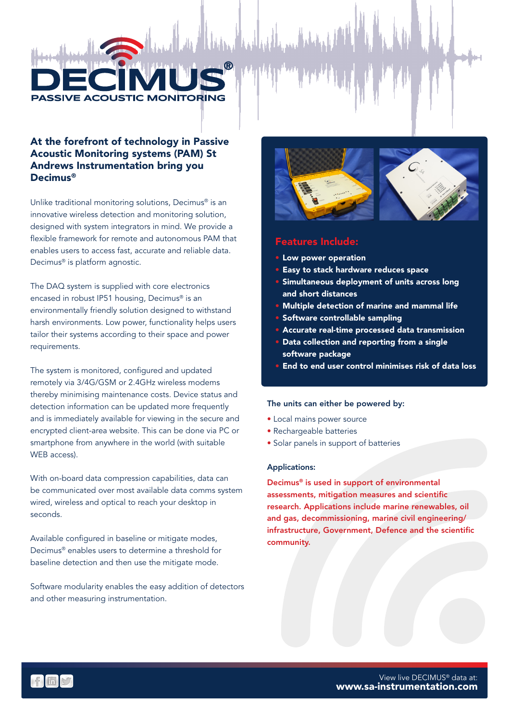

## At the forefront of technology in Passive Acoustic Monitoring systems (PAM) St Andrews Instrumentation bring you Decimus®

Unlike traditional monitoring solutions, Decimus® is an innovative wireless detection and monitoring solution, designed with system integrators in mind. We provide a flexible framework for remote and autonomous PAM that enables users to access fast, accurate and reliable data. Decimus® is platform agnostic.

The DAQ system is supplied with core electronics encased in robust IP51 housing, Decimus® is an environmentally friendly solution designed to withstand harsh environments. Low power, functionality helps users tailor their systems according to their space and power requirements.

The system is monitored, configured and updated remotely via 3/4G/GSM or 2.4GHz wireless modems thereby minimising maintenance costs. Device status and detection information can be updated more frequently and is immediately available for viewing in the secure and encrypted client-area website. This can be done via PC or smartphone from anywhere in the world (with suitable WEB access).

With on-board data compression capabilities, data can be communicated over most available data comms system wired, wireless and optical to reach your desktop in seconds.

Available configured in baseline or mitigate modes, Decimus® enables users to determine a threshold for baseline detection and then use the mitigate mode.

Software modularity enables the easy addition of detectors and other measuring instrumentation.



### Features Include:

- Low power operation
- Easy to stack hardware reduces space
- Simultaneous deployment of units across long and short distances
- Multiple detection of marine and mammal life
- Software controllable sampling
- Accurate real-time processed data transmission
- Data collection and reporting from a single software package
- End to end user control minimises risk of data loss

#### The units can either be powered by:

- Local mains power source
- Rechargeable batteries
- Solar panels in support of batteries

#### Applications:

Decimus® is used in support of environmental assessments, mitigation measures and scientific research. Applications include marine renewables, oil and gas, decommissioning, marine civil engineering/ infrastructure, Government, Defence and the scientific community.

 $f$  in